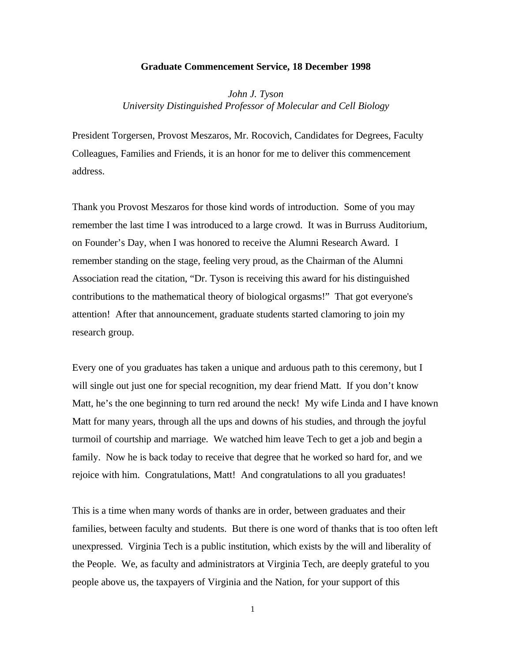## **Graduate Commencement Service, 18 December 1998**

*John J. Tyson University Distinguished Professor of Molecular and Cell Biology*

President Torgersen, Provost Meszaros, Mr. Rocovich, Candidates for Degrees, Faculty Colleagues, Families and Friends, it is an honor for me to deliver this commencement address.

Thank you Provost Meszaros for those kind words of introduction. Some of you may remember the last time I was introduced to a large crowd. It was in Burruss Auditorium, on Founder's Day, when I was honored to receive the Alumni Research Award. I remember standing on the stage, feeling very proud, as the Chairman of the Alumni Association read the citation, "Dr. Tyson is receiving this award for his distinguished contributions to the mathematical theory of biological orgasms!" That got everyone's attention! After that announcement, graduate students started clamoring to join my research group.

Every one of you graduates has taken a unique and arduous path to this ceremony, but I will single out just one for special recognition, my dear friend Matt. If you don't know Matt, he's the one beginning to turn red around the neck! My wife Linda and I have known Matt for many years, through all the ups and downs of his studies, and through the joyful turmoil of courtship and marriage. We watched him leave Tech to get a job and begin a family. Now he is back today to receive that degree that he worked so hard for, and we rejoice with him. Congratulations, Matt! And congratulations to all you graduates!

This is a time when many words of thanks are in order, between graduates and their families, between faculty and students. But there is one word of thanks that is too often left unexpressed. Virginia Tech is a public institution, which exists by the will and liberality of the People. We, as faculty and administrators at Virginia Tech, are deeply grateful to you people above us, the taxpayers of Virginia and the Nation, for your support of this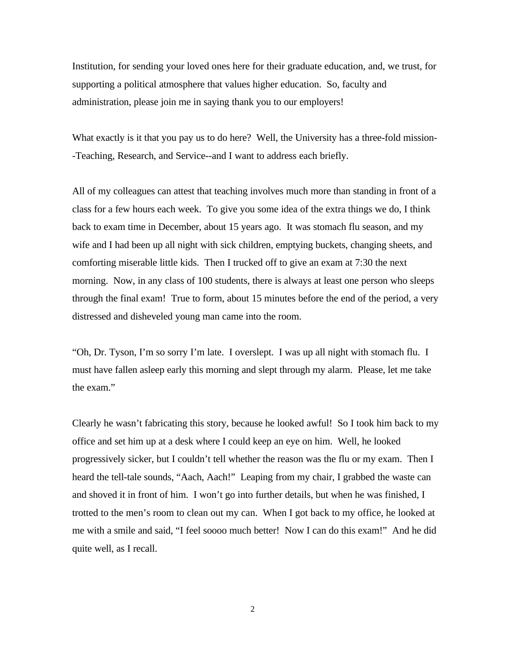Institution, for sending your loved ones here for their graduate education, and, we trust, for supporting a political atmosphere that values higher education. So, faculty and administration, please join me in saying thank you to our employers!

What exactly is it that you pay us to do here? Well, the University has a three-fold mission- -Teaching, Research, and Service--and I want to address each briefly.

All of my colleagues can attest that teaching involves much more than standing in front of a class for a few hours each week. To give you some idea of the extra things we do, I think back to exam time in December, about 15 years ago. It was stomach flu season, and my wife and I had been up all night with sick children, emptying buckets, changing sheets, and comforting miserable little kids. Then I trucked off to give an exam at 7:30 the next morning. Now, in any class of 100 students, there is always at least one person who sleeps through the final exam! True to form, about 15 minutes before the end of the period, a very distressed and disheveled young man came into the room.

"Oh, Dr. Tyson, I'm so sorry I'm late. I overslept. I was up all night with stomach flu. I must have fallen asleep early this morning and slept through my alarm. Please, let me take the exam."

Clearly he wasn't fabricating this story, because he looked awful! So I took him back to my office and set him up at a desk where I could keep an eye on him. Well, he looked progressively sicker, but I couldn't tell whether the reason was the flu or my exam. Then I heard the tell-tale sounds, "Aach, Aach!" Leaping from my chair, I grabbed the waste can and shoved it in front of him. I won't go into further details, but when he was finished, I trotted to the men's room to clean out my can. When I got back to my office, he looked at me with a smile and said, "I feel soooo much better! Now I can do this exam!" And he did quite well, as I recall.

2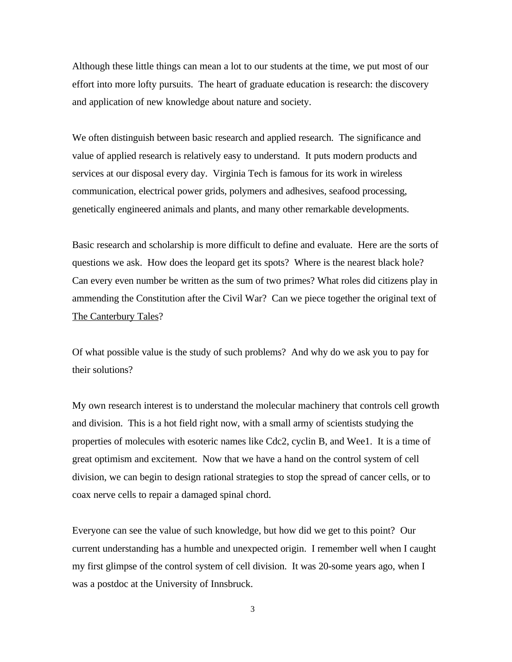Although these little things can mean a lot to our students at the time, we put most of our effort into more lofty pursuits. The heart of graduate education is research: the discovery and application of new knowledge about nature and society.

We often distinguish between basic research and applied research. The significance and value of applied research is relatively easy to understand. It puts modern products and services at our disposal every day. Virginia Tech is famous for its work in wireless communication, electrical power grids, polymers and adhesives, seafood processing, genetically engineered animals and plants, and many other remarkable developments.

Basic research and scholarship is more difficult to define and evaluate. Here are the sorts of questions we ask. How does the leopard get its spots? Where is the nearest black hole? Can every even number be written as the sum of two primes? What roles did citizens play in ammending the Constitution after the Civil War? Can we piece together the original text of The Canterbury Tales?

Of what possible value is the study of such problems? And why do we ask you to pay for their solutions?

My own research interest is to understand the molecular machinery that controls cell growth and division. This is a hot field right now, with a small army of scientists studying the properties of molecules with esoteric names like Cdc2, cyclin B, and Wee1. It is a time of great optimism and excitement. Now that we have a hand on the control system of cell division, we can begin to design rational strategies to stop the spread of cancer cells, or to coax nerve cells to repair a damaged spinal chord.

Everyone can see the value of such knowledge, but how did we get to this point? Our current understanding has a humble and unexpected origin. I remember well when I caught my first glimpse of the control system of cell division. It was 20-some years ago, when I was a postdoc at the University of Innsbruck.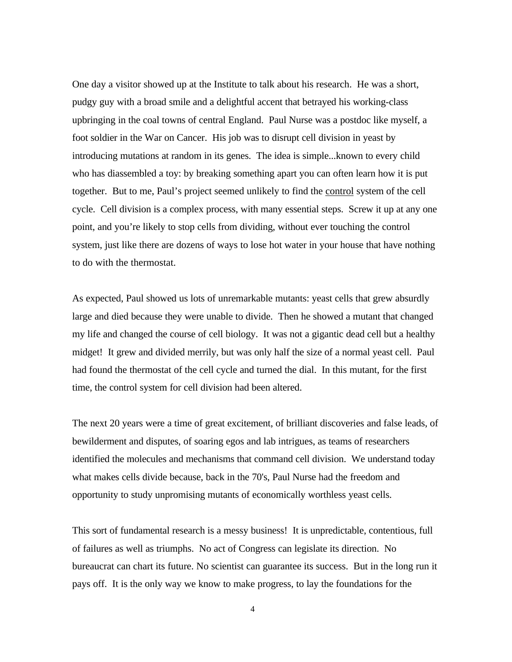One day a visitor showed up at the Institute to talk about his research. He was a short, pudgy guy with a broad smile and a delightful accent that betrayed his working-class upbringing in the coal towns of central England. Paul Nurse was a postdoc like myself, a foot soldier in the War on Cancer. His job was to disrupt cell division in yeast by introducing mutations at random in its genes. The idea is simple...known to every child who has diassembled a toy: by breaking something apart you can often learn how it is put together. But to me, Paul's project seemed unlikely to find the control system of the cell cycle. Cell division is a complex process, with many essential steps. Screw it up at any one point, and you're likely to stop cells from dividing, without ever touching the control system, just like there are dozens of ways to lose hot water in your house that have nothing to do with the thermostat.

As expected, Paul showed us lots of unremarkable mutants: yeast cells that grew absurdly large and died because they were unable to divide. Then he showed a mutant that changed my life and changed the course of cell biology. It was not a gigantic dead cell but a healthy midget! It grew and divided merrily, but was only half the size of a normal yeast cell. Paul had found the thermostat of the cell cycle and turned the dial. In this mutant, for the first time, the control system for cell division had been altered.

The next 20 years were a time of great excitement, of brilliant discoveries and false leads, of bewilderment and disputes, of soaring egos and lab intrigues, as teams of researchers identified the molecules and mechanisms that command cell division. We understand today what makes cells divide because, back in the 70's, Paul Nurse had the freedom and opportunity to study unpromising mutants of economically worthless yeast cells.

This sort of fundamental research is a messy business! It is unpredictable, contentious, full of failures as well as triumphs. No act of Congress can legislate its direction. No bureaucrat can chart its future. No scientist can guarantee its success. But in the long run it pays off. It is the only way we know to make progress, to lay the foundations for the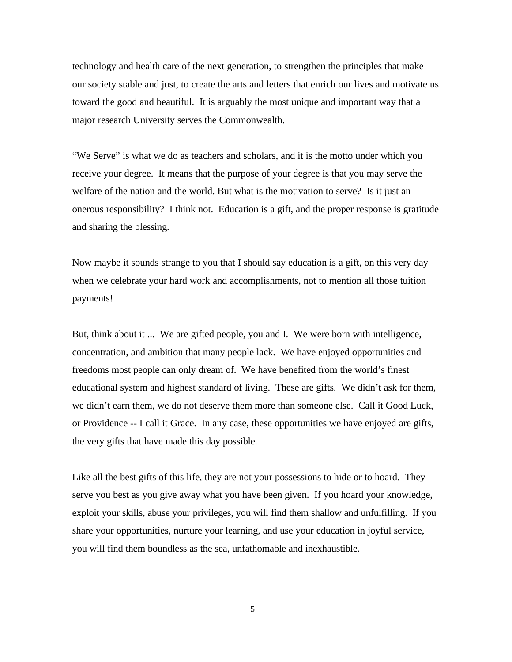technology and health care of the next generation, to strengthen the principles that make our society stable and just, to create the arts and letters that enrich our lives and motivate us toward the good and beautiful. It is arguably the most unique and important way that a major research University serves the Commonwealth.

"We Serve" is what we do as teachers and scholars, and it is the motto under which you receive your degree. It means that the purpose of your degree is that you may serve the welfare of the nation and the world. But what is the motivation to serve? Is it just an onerous responsibility? I think not. Education is a gift, and the proper response is gratitude and sharing the blessing.

Now maybe it sounds strange to you that I should say education is a gift, on this very day when we celebrate your hard work and accomplishments, not to mention all those tuition payments!

But, think about it ... We are gifted people, you and I. We were born with intelligence, concentration, and ambition that many people lack. We have enjoyed opportunities and freedoms most people can only dream of. We have benefited from the world's finest educational system and highest standard of living. These are gifts. We didn't ask for them, we didn't earn them, we do not deserve them more than someone else. Call it Good Luck, or Providence -- I call it Grace. In any case, these opportunities we have enjoyed are gifts, the very gifts that have made this day possible.

Like all the best gifts of this life, they are not your possessions to hide or to hoard. They serve you best as you give away what you have been given. If you hoard your knowledge, exploit your skills, abuse your privileges, you will find them shallow and unfulfilling. If you share your opportunities, nurture your learning, and use your education in joyful service, you will find them boundless as the sea, unfathomable and inexhaustible.